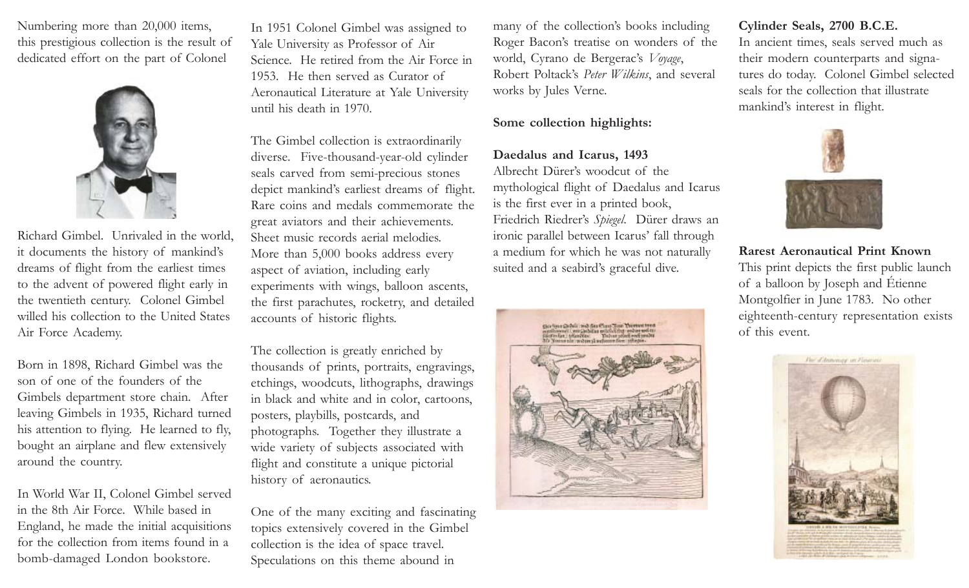Numbering more than 20,000 items, this prestigious collection is the result of dedicated effort on the part of Colonel



Richard Gimbel. Unrivaled in the world, it documents the history of mankind's dreams of flight from the earliest times to the advent of powered flight early in the twentieth century. Colonel Gimbel willed his collection to the United States Air Force Academy.

Born in 1898, Richard Gimbel was the son of one of the founders of the Gimbels department store chain. After leaving Gimbels in 1935, Richard turned his attention to flying. He learned to fly, bought an airplane and flew extensively around the country.

In World War II, Colonel Gimbel served in the 8th Air Force. While based in England, he made the initial acquisitions for the collection from items found in a bomb-damaged London bookstore.

In 1951 Colonel Gimbel was assigned to Yale University as Professor of Air Science. He retired from the Air Force in 1953. He then served as Curator of Aeronautical Literature at Yale University until his death in 1970.

The Gimbel collection is extraordinarily diverse. Five-thousand-year-old cylinder seals carved from semi-precious stones depict mankind's earliest dreams of flight. Rare coins and medals commemorate the great aviators and their achievements. Sheet music records aerial melodies. More than 5,000 books address every aspect of aviation, including early experiments with wings, balloon ascents, the first parachutes, rocketry, and detailed accounts of historic flights.

The collection is greatly enriched by thousands of prints, portraits, engravings, etchings, woodcuts, lithographs, drawings in black and white and in color, cartoons, posters, playbills, postcards, and photographs. Together they illustrate a wide variety of subjects associated with flight and constitute a unique pictorial history of aeronautics.

One of the many exciting and fascinating topics extensively covered in the Gimbel collection is the idea of space travel. Speculations on this theme abound in

many of the collection's books including Roger Bacon's treatise on wonders of the world, Cyrano de Bergerac's *Voyage*, Robert Poltack's *Peter Wilkins*, and several works by Jules Verne.

### **Some collection highlights:**

#### **Daedalus and Icarus, 1493**

Albrecht Dürer's woodcut of the mythological flight of Daedalus and Icarus is the first ever in a printed book, Friedrich Riedrer's *Spiegel*. Dürer draws an ironic parallel between Icarus' fall through a medium for which he was not naturally suited and a seabird's graceful dive.



## **Cylinder Seals, 2700 B.C.E.**

In ancient times, seals served much as their modern counterparts and signatures do today. Colonel Gimbel selected seals for the collection that illustrate mankind's interest in flight.



#### **Rarest Aeronautical Print Known**

This print depicts the first public launch of a balloon by Joseph and Étienne Montgolfier in June 1783. No other eighteenth-century representation exists of this event.